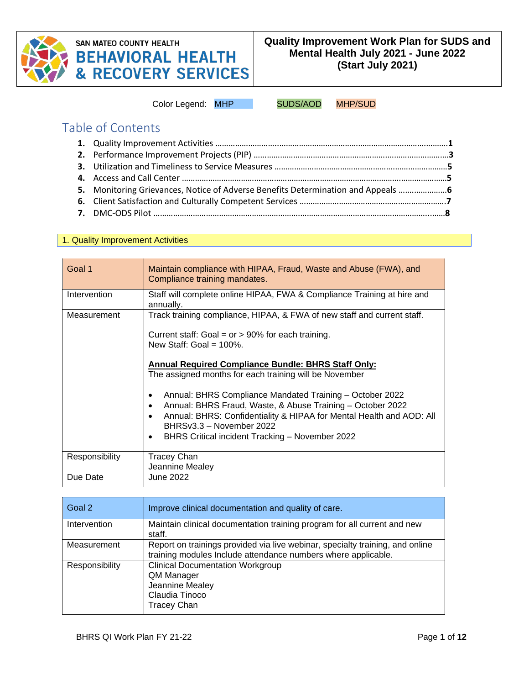

# **SAN MATEO COUNTY HEALTH BEHAVIORAL HEALTH<br>& RECOVERY SERVICES**

Color Legend: MHP SUDS/AOD MHP/SUD

Table of Contents

| 5. Monitoring Grievances, Notice of Adverse Benefits Determination and Appeals |  |
|--------------------------------------------------------------------------------|--|
|                                                                                |  |
|                                                                                |  |

#### 1. Quality Improvement Activities

| Goal 1         | Maintain compliance with HIPAA, Fraud, Waste and Abuse (FWA), and<br>Compliance training mandates.                                                                                                                                                                                                                                                                                                                                                                                                                                                                                  |
|----------------|-------------------------------------------------------------------------------------------------------------------------------------------------------------------------------------------------------------------------------------------------------------------------------------------------------------------------------------------------------------------------------------------------------------------------------------------------------------------------------------------------------------------------------------------------------------------------------------|
| Intervention   | Staff will complete online HIPAA, FWA & Compliance Training at hire and<br>annually.                                                                                                                                                                                                                                                                                                                                                                                                                                                                                                |
| Measurement    | Track training compliance, HIPAA, & FWA of new staff and current staff.<br>Current staff: Goal = $or$ > 90% for each training.<br>New Staff: Goal = $100\%$ .<br><b>Annual Required Compliance Bundle: BHRS Staff Only:</b><br>The assigned months for each training will be November<br>Annual: BHRS Compliance Mandated Training - October 2022<br>Annual: BHRS Fraud, Waste, & Abuse Training - October 2022<br>Annual: BHRS: Confidentiality & HIPAA for Mental Health and AOD: All<br>BHRSv3.3 - November 2022<br>BHRS Critical incident Tracking - November 2022<br>$\bullet$ |
| Responsibility | <b>Tracey Chan</b><br>Jeannine Mealey                                                                                                                                                                                                                                                                                                                                                                                                                                                                                                                                               |
| Due Date       | June 2022                                                                                                                                                                                                                                                                                                                                                                                                                                                                                                                                                                           |

| Goal 2         | Improve clinical documentation and quality of care.                                                                                            |
|----------------|------------------------------------------------------------------------------------------------------------------------------------------------|
| Intervention   | Maintain clinical documentation training program for all current and new<br>staff.                                                             |
| Measurement    | Report on trainings provided via live webinar, specialty training, and online<br>training modules Include attendance numbers where applicable. |
| Responsibility | <b>Clinical Documentation Workgroup</b><br>QM Manager<br>Jeannine Mealey<br>Claudia Tinoco<br><b>Tracey Chan</b>                               |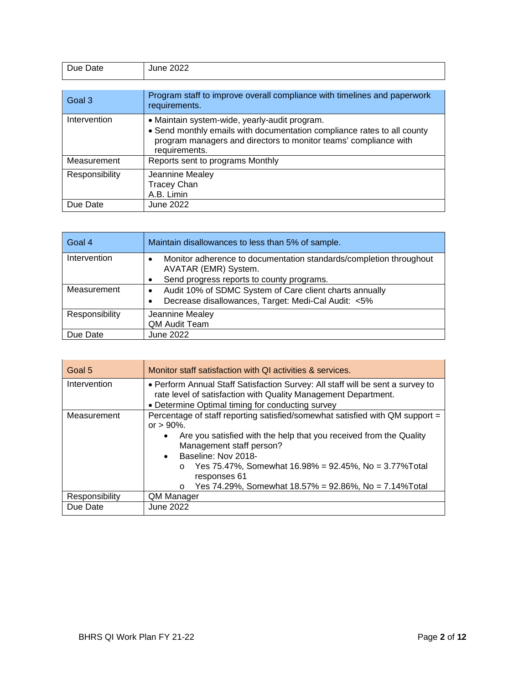| Due Date       | June 2022                                                                                                                                                                                                     |
|----------------|---------------------------------------------------------------------------------------------------------------------------------------------------------------------------------------------------------------|
|                |                                                                                                                                                                                                               |
| Goal 3         | Program staff to improve overall compliance with timelines and paperwork<br>requirements.                                                                                                                     |
| Intervention   | • Maintain system-wide, yearly-audit program.<br>• Send monthly emails with documentation compliance rates to all county<br>program managers and directors to monitor teams' compliance with<br>requirements. |
| Measurement    | Reports sent to programs Monthly                                                                                                                                                                              |
| Responsibility | Jeannine Mealey<br><b>Tracey Chan</b><br>A.B. Limin                                                                                                                                                           |
| Due Date       | June 2022                                                                                                                                                                                                     |

| Goal 4         | Maintain disallowances to less than 5% of sample.                                               |
|----------------|-------------------------------------------------------------------------------------------------|
| Intervention   | Monitor adherence to documentation standards/completion throughout<br>٠<br>AVATAR (EMR) System. |
|                | Send progress reports to county programs.                                                       |
| Measurement    | Audit 10% of SDMC System of Care client charts annually<br>٠                                    |
|                | Decrease disallowances, Target: Medi-Cal Audit: <5%                                             |
| Responsibility | Jeannine Mealey                                                                                 |
|                | QM Audit Team                                                                                   |
| Due Date       | June 2022                                                                                       |

| Goal 5         | Monitor staff satisfaction with QI activities & services.                                                                                                                                                                                                                                                                                                                              |
|----------------|----------------------------------------------------------------------------------------------------------------------------------------------------------------------------------------------------------------------------------------------------------------------------------------------------------------------------------------------------------------------------------------|
| Intervention   | • Perform Annual Staff Satisfaction Survey: All staff will be sent a survey to<br>rate level of satisfaction with Quality Management Department.<br>• Determine Optimal timing for conducting survey                                                                                                                                                                                   |
| Measurement    | Percentage of staff reporting satisfied/somewhat satisfied with QM support =<br>or $> 90\%$ .<br>Are you satisfied with the help that you received from the Quality<br>٠<br>Management staff person?<br>Baseline: Nov 2018-<br>Yes 75.47%, Somewhat 16.98% = 92.45%, No = 3.77% Total<br>$\circ$<br>responses 61<br>Yes 74.29%, Somewhat 18.57% = 92.86%, No = 7.14% Total<br>$\Omega$ |
| Responsibility | QM Manager                                                                                                                                                                                                                                                                                                                                                                             |
| Due Date       | June 2022                                                                                                                                                                                                                                                                                                                                                                              |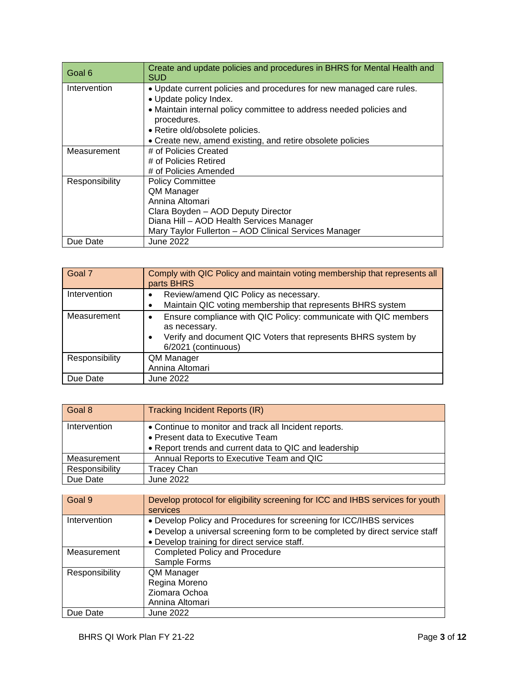| Goal 6         | Create and update policies and procedures in BHRS for Mental Health and<br>SUD     |
|----------------|------------------------------------------------------------------------------------|
| Intervention   | . Update current policies and procedures for new managed care rules.               |
|                | • Update policy Index.                                                             |
|                | • Maintain internal policy committee to address needed policies and<br>procedures. |
|                | • Retire old/obsolete policies.                                                    |
|                |                                                                                    |
|                | • Create new, amend existing, and retire obsolete policies                         |
| Measurement    | # of Policies Created                                                              |
|                | # of Policies Retired                                                              |
|                | # of Policies Amended                                                              |
| Responsibility | <b>Policy Committee</b>                                                            |
|                | QM Manager                                                                         |
|                | Annina Altomari                                                                    |
|                | Clara Boyden - AOD Deputy Director                                                 |
|                | Diana Hill - AOD Health Services Manager                                           |
|                | Mary Taylor Fullerton - AOD Clinical Services Manager                              |
| Due Date       | <b>June 2022</b>                                                                   |

| Goal 7         | Comply with QIC Policy and maintain voting membership that represents all<br>parts BHRS                                                                                                    |
|----------------|--------------------------------------------------------------------------------------------------------------------------------------------------------------------------------------------|
| Intervention   | Review/amend QIC Policy as necessary.<br>٠<br>Maintain QIC voting membership that represents BHRS system                                                                                   |
| Measurement    | Ensure compliance with QIC Policy: communicate with QIC members<br>٠<br>as necessary.<br>Verify and document QIC Voters that represents BHRS system by<br>$\bullet$<br>6/2021 (continuous) |
| Responsibility | QM Manager<br>Annina Altomari                                                                                                                                                              |
| Due Date       | June 2022                                                                                                                                                                                  |

| Goal 8         | <b>Tracking Incident Reports (IR)</b>                  |
|----------------|--------------------------------------------------------|
| Intervention   | • Continue to monitor and track all Incident reports.  |
|                | • Present data to Executive Team                       |
|                | • Report trends and current data to QIC and leadership |
| Measurement    | Annual Reports to Executive Team and QIC               |
| Responsibility | Tracey Chan                                            |
| Due Date       | June 2022                                              |

| Goal 9         | Develop protocol for eligibility screening for ICC and IHBS services for youth<br>services                                                                                                          |
|----------------|-----------------------------------------------------------------------------------------------------------------------------------------------------------------------------------------------------|
| Intervention   | • Develop Policy and Procedures for screening for ICC/IHBS services<br>• Develop a universal screening form to be completed by direct service staff<br>• Develop training for direct service staff. |
| Measurement    | <b>Completed Policy and Procedure</b><br>Sample Forms                                                                                                                                               |
| Responsibility | QM Manager<br>Regina Moreno<br>Ziomara Ochoa<br>Annina Altomari                                                                                                                                     |
| Due Date       | June 2022                                                                                                                                                                                           |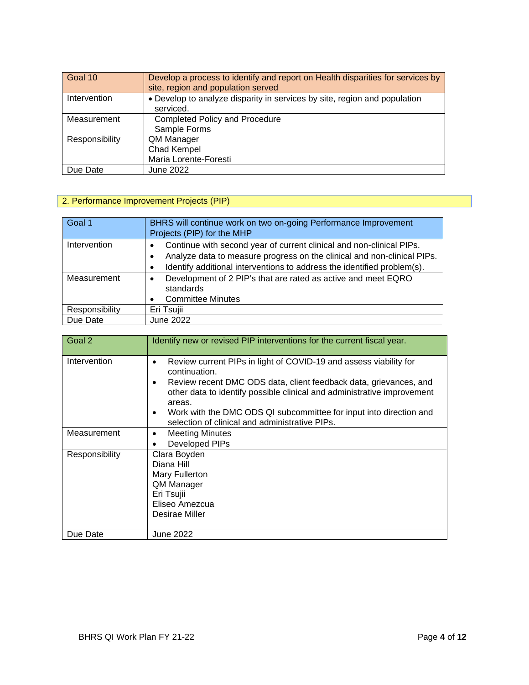| Goal 10        | Develop a process to identify and report on Health disparities for services by<br>site, region and population served |
|----------------|----------------------------------------------------------------------------------------------------------------------|
| Intervention   | • Develop to analyze disparity in services by site, region and population<br>serviced.                               |
| Measurement    | <b>Completed Policy and Procedure</b><br>Sample Forms                                                                |
| Responsibility | QM Manager<br>Chad Kempel<br>Maria Lorente-Foresti                                                                   |
| Due Date       | June 2022                                                                                                            |

## 2. Performance Improvement Projects (PIP)

| Goal 1         | BHRS will continue work on two on-going Performance Improvement<br>Projects (PIP) for the MHP                                                                                                                                                                     |
|----------------|-------------------------------------------------------------------------------------------------------------------------------------------------------------------------------------------------------------------------------------------------------------------|
| Intervention   | Continue with second year of current clinical and non-clinical PIPs.<br>$\bullet$<br>Analyze data to measure progress on the clinical and non-clinical PIPs.<br>$\bullet$<br>Identify additional interventions to address the identified problem(s).<br>$\bullet$ |
| Measurement    | Development of 2 PIP's that are rated as active and meet EQRO<br>$\bullet$<br>standards<br><b>Committee Minutes</b><br>$\bullet$                                                                                                                                  |
| Responsibility | Eri Tsujii                                                                                                                                                                                                                                                        |
| Due Date       | <b>June 2022</b>                                                                                                                                                                                                                                                  |

| Goal <sub>2</sub> | Identify new or revised PIP interventions for the current fiscal year.                                                                                                                                                                                                                                                                                                                              |
|-------------------|-----------------------------------------------------------------------------------------------------------------------------------------------------------------------------------------------------------------------------------------------------------------------------------------------------------------------------------------------------------------------------------------------------|
| Intervention      | Review current PIPs in light of COVID-19 and assess viability for<br>٠<br>continuation.<br>Review recent DMC ODS data, client feedback data, grievances, and<br>$\bullet$<br>other data to identify possible clinical and administrative improvement<br>areas.<br>Work with the DMC ODS QI subcommittee for input into direction and<br>$\bullet$<br>selection of clinical and administrative PIPs. |
| Measurement       | <b>Meeting Minutes</b><br>$\bullet$<br>Developed PIPs                                                                                                                                                                                                                                                                                                                                               |
| Responsibility    | Clara Boyden<br>Diana Hill<br>Mary Fullerton<br>QM Manager<br>Eri Tsujii<br>Eliseo Amezcua<br>Desirae Miller                                                                                                                                                                                                                                                                                        |
| Due Date          | June 2022                                                                                                                                                                                                                                                                                                                                                                                           |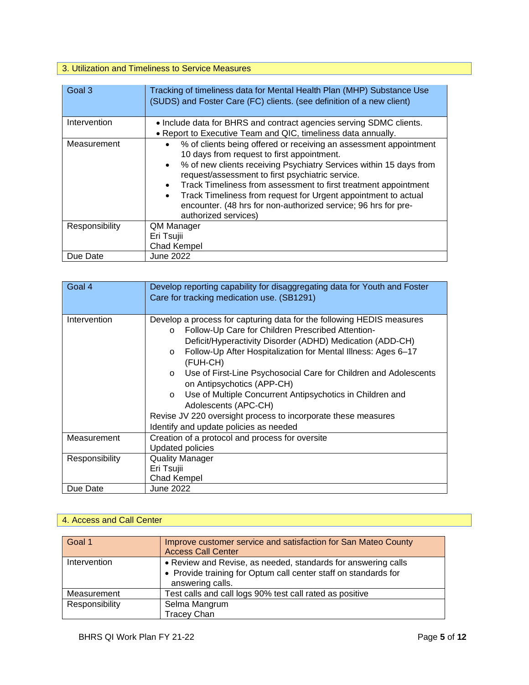## 3. Utilization and Timeliness to Service Measures

| Goal 3         | Tracking of timeliness data for Mental Health Plan (MHP) Substance Use<br>(SUDS) and Foster Care (FC) clients. (see definition of a new client)                                                                                                                                                                                                                                                                                                                                                                              |
|----------------|------------------------------------------------------------------------------------------------------------------------------------------------------------------------------------------------------------------------------------------------------------------------------------------------------------------------------------------------------------------------------------------------------------------------------------------------------------------------------------------------------------------------------|
| Intervention   | • Include data for BHRS and contract agencies serving SDMC clients.<br>• Report to Executive Team and QIC, timeliness data annually.                                                                                                                                                                                                                                                                                                                                                                                         |
| Measurement    | % of clients being offered or receiving an assessment appointment<br>$\bullet$<br>10 days from request to first appointment.<br>% of new clients receiving Psychiatry Services within 15 days from<br>$\bullet$<br>request/assessment to first psychiatric service.<br>Track Timeliness from assessment to first treatment appointment<br>$\bullet$<br>Track Timeliness from request for Urgent appointment to actual<br>$\bullet$<br>encounter. (48 hrs for non-authorized service; 96 hrs for pre-<br>authorized services) |
| Responsibility | QM Manager<br>Eri Tsujii<br>Chad Kempel                                                                                                                                                                                                                                                                                                                                                                                                                                                                                      |
| Due Date       | June 2022                                                                                                                                                                                                                                                                                                                                                                                                                                                                                                                    |

| Goal 4         | Develop reporting capability for disaggregating data for Youth and Foster<br>Care for tracking medication use. (SB1291)                                                                                                                                                                                                                                                                                                                                                                                                                                                                                            |
|----------------|--------------------------------------------------------------------------------------------------------------------------------------------------------------------------------------------------------------------------------------------------------------------------------------------------------------------------------------------------------------------------------------------------------------------------------------------------------------------------------------------------------------------------------------------------------------------------------------------------------------------|
| Intervention   | Develop a process for capturing data for the following HEDIS measures<br>Follow-Up Care for Children Prescribed Attention-<br>$\circ$<br>Deficit/Hyperactivity Disorder (ADHD) Medication (ADD-CH)<br>Follow-Up After Hospitalization for Mental Illness: Ages 6-17<br>$\circ$<br>(FUH-CH)<br>Use of First-Line Psychosocial Care for Children and Adolescents<br>$\circ$<br>on Antipsychotics (APP-CH)<br>Use of Multiple Concurrent Antipsychotics in Children and<br>$\circ$<br>Adolescents (APC-CH)<br>Revise JV 220 oversight process to incorporate these measures<br>Identify and update policies as needed |
| Measurement    | Creation of a protocol and process for oversite<br><b>Updated policies</b>                                                                                                                                                                                                                                                                                                                                                                                                                                                                                                                                         |
| Responsibility | <b>Quality Manager</b><br>Eri Tsujii<br><b>Chad Kempel</b>                                                                                                                                                                                                                                                                                                                                                                                                                                                                                                                                                         |
| Due Date       | June 2022                                                                                                                                                                                                                                                                                                                                                                                                                                                                                                                                                                                                          |

### 4. Access and Call Center

| Goal 1         | Improve customer service and satisfaction for San Mateo County<br><b>Access Call Center</b>                                                          |
|----------------|------------------------------------------------------------------------------------------------------------------------------------------------------|
| Intervention   | • Review and Revise, as needed, standards for answering calls<br>• Provide training for Optum call center staff on standards for<br>answering calls. |
| Measurement    | Test calls and call logs 90% test call rated as positive                                                                                             |
| Responsibility | Selma Mangrum                                                                                                                                        |
|                | <b>Tracey Chan</b>                                                                                                                                   |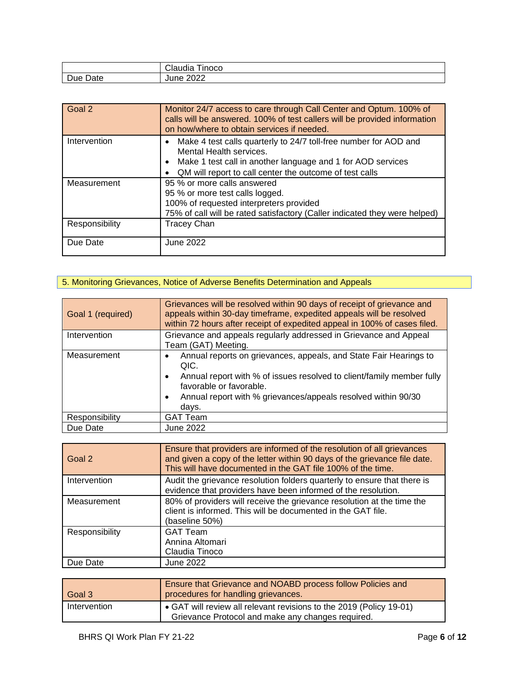|      | $\cdots$<br>^'<br>' Inoco<br>Claudia |
|------|--------------------------------------|
| Due  | 2022                                 |
| Date | June                                 |

| Goal 2         | Monitor 24/7 access to care through Call Center and Optum. 100% of<br>calls will be answered. 100% of test callers will be provided information<br>on how/where to obtain services if needed.                                      |
|----------------|------------------------------------------------------------------------------------------------------------------------------------------------------------------------------------------------------------------------------------|
| Intervention   | Make 4 test calls quarterly to 24/7 toll-free number for AOD and<br>Mental Health services.<br>Make 1 test call in another language and 1 for AOD services<br>$\bullet$<br>QM will report to call center the outcome of test calls |
| Measurement    | 95 % or more calls answered<br>95 % or more test calls logged.<br>100% of requested interpreters provided<br>75% of call will be rated satisfactory (Caller indicated they were helped)                                            |
| Responsibility | <b>Tracey Chan</b>                                                                                                                                                                                                                 |
| Due Date       | June 2022                                                                                                                                                                                                                          |

## 5. Monitoring Grievances, Notice of Adverse Benefits Determination and Appeals

| Goal 1 (required) | Grievances will be resolved within 90 days of receipt of grievance and<br>appeals within 30-day timeframe, expedited appeals will be resolved<br>within 72 hours after receipt of expedited appeal in 100% of cases filed.                                                |
|-------------------|---------------------------------------------------------------------------------------------------------------------------------------------------------------------------------------------------------------------------------------------------------------------------|
| Intervention      | Grievance and appeals regularly addressed in Grievance and Appeal<br>Team (GAT) Meeting.                                                                                                                                                                                  |
| Measurement       | Annual reports on grievances, appeals, and State Fair Hearings to<br>QIC.<br>Annual report with % of issues resolved to client/family member fully<br>$\bullet$<br>favorable or favorable.<br>Annual report with % grievances/appeals resolved within 90/30<br>٠<br>days. |
| Responsibility    | <b>GAT Team</b>                                                                                                                                                                                                                                                           |
| Due Date          | <b>June 2022</b>                                                                                                                                                                                                                                                          |

| Goal 2         | Ensure that providers are informed of the resolution of all grievances<br>and given a copy of the letter within 90 days of the grievance file date.<br>This will have documented in the GAT file 100% of the time. |
|----------------|--------------------------------------------------------------------------------------------------------------------------------------------------------------------------------------------------------------------|
| Intervention   | Audit the grievance resolution folders quarterly to ensure that there is<br>evidence that providers have been informed of the resolution.                                                                          |
| Measurement    | 80% of providers will receive the grievance resolution at the time the<br>client is informed. This will be documented in the GAT file.<br>(baseline 50%)                                                           |
| Responsibility | <b>GAT Team</b><br>Annina Altomari<br>Claudia Tinoco                                                                                                                                                               |
| Due Date       | June 2022                                                                                                                                                                                                          |

| Goal 3       | Ensure that Grievance and NOABD process follow Policies and<br>procedures for handling grievances.                       |
|--------------|--------------------------------------------------------------------------------------------------------------------------|
| Intervention | • GAT will review all relevant revisions to the 2019 (Policy 19-01)<br>Grievance Protocol and make any changes required. |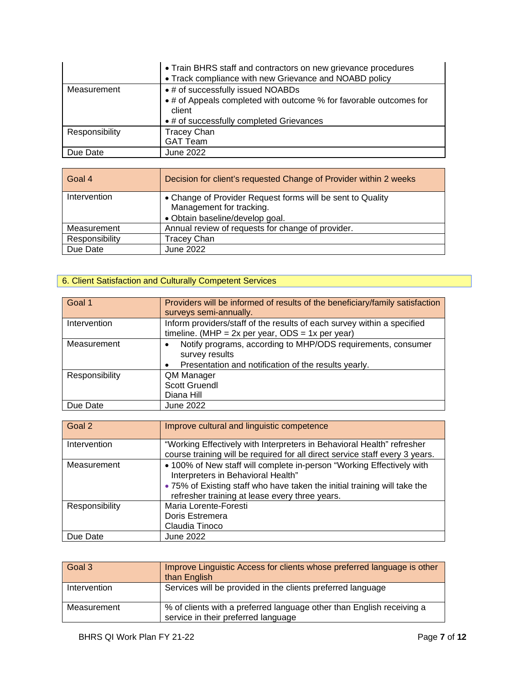|                | • Train BHRS staff and contractors on new grievance procedures<br>• Track compliance with new Grievance and NOABD policy |
|----------------|--------------------------------------------------------------------------------------------------------------------------|
| Measurement    | • # of successfully issued NOABDs                                                                                        |
|                | • # of Appeals completed with outcome % for favorable outcomes for<br>client                                             |
|                | • # of successfully completed Grievances                                                                                 |
| Responsibility | <b>Tracey Chan</b>                                                                                                       |
|                | <b>GAT Team</b>                                                                                                          |
| Due Date       | June 2022                                                                                                                |

| Goal 4         | Decision for client's requested Change of Provider within 2 weeks |
|----------------|-------------------------------------------------------------------|
| Intervention   | • Change of Provider Request forms will be sent to Quality        |
|                | Management for tracking.                                          |
|                | · Obtain baseline/develop goal.                                   |
| Measurement    | Annual review of requests for change of provider.                 |
| Responsibility | <b>Tracey Chan</b>                                                |
| Due Date       | June 2022                                                         |

## 6. Client Satisfaction and Culturally Competent Services

| Goal 1         | Providers will be informed of results of the beneficiary/family satisfaction<br>surveys semi-annually.                                 |
|----------------|----------------------------------------------------------------------------------------------------------------------------------------|
| Intervention   | Inform providers/staff of the results of each survey within a specified<br>timeline. (MHP = $2x$ per year, ODS = $1x$ per year)        |
| Measurement    | Notify programs, according to MHP/ODS requirements, consumer<br>survey results<br>Presentation and notification of the results yearly. |
| Responsibility | QM Manager<br>Scott Gruendl<br>Diana Hill                                                                                              |
| Due Date       | June 2022                                                                                                                              |

| Goal 2         | Improve cultural and linguistic competence                                                                  |
|----------------|-------------------------------------------------------------------------------------------------------------|
| Intervention   | "Working Effectively with Interpreters in Behavioral Health" refresher                                      |
|                | course training will be required for all direct service staff every 3 years.                                |
| Measurement    | • 100% of New staff will complete in-person "Working Effectively with<br>Interpreters in Behavioral Health" |
|                | • 75% of Existing staff who have taken the initial training will take the                                   |
|                | refresher training at lease every three years.                                                              |
| Responsibility | Maria Lorente-Foresti                                                                                       |
|                | Doris Estremera                                                                                             |
|                | Claudia Tinoco                                                                                              |
| Due Date       | June 2022                                                                                                   |

| Goal 3       | Improve Linguistic Access for clients whose preferred language is other<br>than English                      |
|--------------|--------------------------------------------------------------------------------------------------------------|
| Intervention | Services will be provided in the clients preferred language                                                  |
| Measurement  | % of clients with a preferred language other than English receiving a<br>service in their preferred language |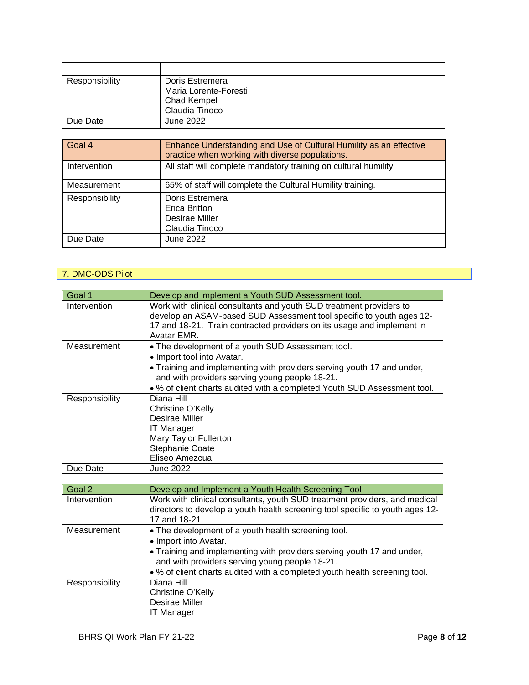| Responsibility | Doris Estremera       |
|----------------|-----------------------|
|                | Maria Lorente-Foresti |
|                | <b>Chad Kempel</b>    |
|                | Claudia Tinoco        |
| Due Date       | June 2022             |

| Goal 4         | Enhance Understanding and Use of Cultural Humility as an effective<br>practice when working with diverse populations. |
|----------------|-----------------------------------------------------------------------------------------------------------------------|
| Intervention   | All staff will complete mandatory training on cultural humility                                                       |
| Measurement    | 65% of staff will complete the Cultural Humility training.                                                            |
| Responsibility | Doris Estremera<br>Erica Britton<br>Desirae Miller<br>Claudia Tinoco                                                  |
| Due Date       | June 2022                                                                                                             |

## 7. DMC-ODS Pilot

| Goal 1         | Develop and implement a Youth SUD Assessment tool.                                                                                                                                                                    |
|----------------|-----------------------------------------------------------------------------------------------------------------------------------------------------------------------------------------------------------------------|
| Intervention   | Work with clinical consultants and youth SUD treatment providers to<br>develop an ASAM-based SUD Assessment tool specific to youth ages 12-<br>17 and 18-21. Train contracted providers on its usage and implement in |
|                | Avatar EMR.                                                                                                                                                                                                           |
| Measurement    | • The development of a youth SUD Assessment tool.<br>• Import tool into Avatar.                                                                                                                                       |
|                | • Training and implementing with providers serving youth 17 and under,<br>and with providers serving young people 18-21.                                                                                              |
|                | • % of client charts audited with a completed Youth SUD Assessment tool.                                                                                                                                              |
| Responsibility | Diana Hill<br>Christine O'Kelly<br>Desirae Miller<br><b>IT Manager</b><br>Mary Taylor Fullerton<br>Stephanie Coate<br>Eliseo Amezcua                                                                                  |
| Due Date       | June 2022                                                                                                                                                                                                             |

| Goal 2         | Develop and Implement a Youth Health Screening Tool                           |
|----------------|-------------------------------------------------------------------------------|
| Intervention   | Work with clinical consultants, youth SUD treatment providers, and medical    |
|                | directors to develop a youth health screening tool specific to youth ages 12- |
|                | 17 and 18-21.                                                                 |
| Measurement    | • The development of a youth health screening tool.                           |
|                | • Import into Avatar.                                                         |
|                | • Training and implementing with providers serving youth 17 and under,        |
|                | and with providers serving young people 18-21.                                |
|                | • % of client charts audited with a completed youth health screening tool.    |
| Responsibility | Diana Hill                                                                    |
|                | Christine O'Kelly                                                             |
|                | Desirae Miller                                                                |
|                | <b>IT Manager</b>                                                             |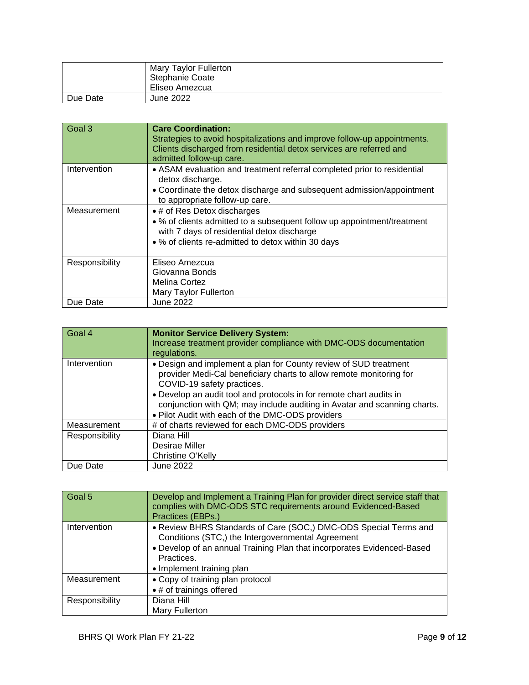|          | Mary Taylor Fullerton<br>Stephanie Coate<br>Eliseo Amezcua |
|----------|------------------------------------------------------------|
| Due Date | June 2022                                                  |

| Goal 3         | <b>Care Coordination:</b><br>Strategies to avoid hospitalizations and improve follow-up appointments.<br>Clients discharged from residential detox services are referred and<br>admitted follow-up care.   |
|----------------|------------------------------------------------------------------------------------------------------------------------------------------------------------------------------------------------------------|
| Intervention   | • ASAM evaluation and treatment referral completed prior to residential<br>detox discharge.<br>• Coordinate the detox discharge and subsequent admission/appointment<br>to appropriate follow-up care.     |
| Measurement    | • # of Res Detox discharges<br>• % of clients admitted to a subsequent follow up appointment/treatment<br>with 7 days of residential detox discharge<br>• % of clients re-admitted to detox within 30 days |
| Responsibility | Eliseo Amezcua<br>Giovanna Bonds<br>Melina Cortez<br>Mary Taylor Fullerton                                                                                                                                 |
| Due Date       | June 2022                                                                                                                                                                                                  |

| Goal 4         | <b>Monitor Service Delivery System:</b><br>Increase treatment provider compliance with DMC-ODS documentation<br>regulations.                                                                                                                                                                                                                                                 |
|----------------|------------------------------------------------------------------------------------------------------------------------------------------------------------------------------------------------------------------------------------------------------------------------------------------------------------------------------------------------------------------------------|
| Intervention   | • Design and implement a plan for County review of SUD treatment<br>provider Medi-Cal beneficiary charts to allow remote monitoring for<br>COVID-19 safety practices.<br>• Develop an audit tool and protocols in for remote chart audits in<br>conjunction with QM; may include auditing in Avatar and scanning charts.<br>. Pilot Audit with each of the DMC-ODS providers |
| Measurement    | # of charts reviewed for each DMC-ODS providers                                                                                                                                                                                                                                                                                                                              |
| Responsibility | Diana Hill<br>Desirae Miller<br>Christine O'Kelly                                                                                                                                                                                                                                                                                                                            |
| Due Date       | <b>June 2022</b>                                                                                                                                                                                                                                                                                                                                                             |

| Goal 5         | Develop and Implement a Training Plan for provider direct service staff that<br>complies with DMC-ODS STC requirements around Evidenced-Based<br>Practices (EBPs.)                                                                         |
|----------------|--------------------------------------------------------------------------------------------------------------------------------------------------------------------------------------------------------------------------------------------|
| Intervention   | • Review BHRS Standards of Care (SOC,) DMC-ODS Special Terms and<br>Conditions (STC,) the Intergovernmental Agreement<br>• Develop of an annual Training Plan that incorporates Evidenced-Based<br>Practices.<br>• Implement training plan |
| Measurement    | • Copy of training plan protocol<br>• # of trainings offered                                                                                                                                                                               |
| Responsibility | Diana Hill<br>Mary Fullerton                                                                                                                                                                                                               |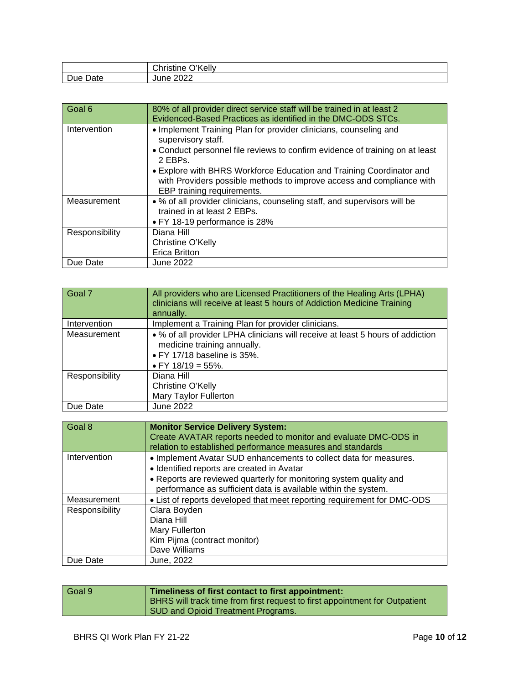|      | ∕ייר<br>'Kelly<br>$\sim$<br>∪nristine⊹<br>◡ |
|------|---------------------------------------------|
| -    | ∩∩∩                                         |
| Date | June                                        |
| Due  | 2022                                        |

| Goal 6         | 80% of all provider direct service staff will be trained in at least 2<br>Evidenced-Based Practices as identified in the DMC-ODS STCs.                                                                                                                                                                                                                            |
|----------------|-------------------------------------------------------------------------------------------------------------------------------------------------------------------------------------------------------------------------------------------------------------------------------------------------------------------------------------------------------------------|
| Intervention   | • Implement Training Plan for provider clinicians, counseling and<br>supervisory staff.<br>• Conduct personnel file reviews to confirm evidence of training on at least<br>2 EBPs.<br>• Explore with BHRS Workforce Education and Training Coordinator and<br>with Providers possible methods to improve access and compliance with<br>EBP training requirements. |
| Measurement    | • % of all provider clinicians, counseling staff, and supervisors will be<br>trained in at least 2 EBPs.<br>• FY 18-19 performance is 28%                                                                                                                                                                                                                         |
| Responsibility | Diana Hill<br>Christine O'Kelly<br><b>Erica Britton</b>                                                                                                                                                                                                                                                                                                           |
| Due Date       | June 2022                                                                                                                                                                                                                                                                                                                                                         |

| Goal 7         | All providers who are Licensed Practitioners of the Healing Arts (LPHA)<br>clinicians will receive at least 5 hours of Addiction Medicine Training<br>annually.   |
|----------------|-------------------------------------------------------------------------------------------------------------------------------------------------------------------|
| Intervention   | Implement a Training Plan for provider clinicians.                                                                                                                |
| Measurement    | • % of all provider LPHA clinicians will receive at least 5 hours of addiction<br>medicine training annually.<br>• FY 17/18 baseline is 35%.<br>• FY 18/19 = 55%. |
| Responsibility | Diana Hill<br>Christine O'Kelly<br>Mary Taylor Fullerton                                                                                                          |
| Due Date       | June 2022                                                                                                                                                         |

| Goal 8         | <b>Monitor Service Delivery System:</b><br>Create AVATAR reports needed to monitor and evaluate DMC-ODS in<br>relation to established performance measures and standards |
|----------------|--------------------------------------------------------------------------------------------------------------------------------------------------------------------------|
| Intervention   | • Implement Avatar SUD enhancements to collect data for measures.<br>• Identified reports are created in Avatar                                                          |
|                | • Reports are reviewed quarterly for monitoring system quality and<br>performance as sufficient data is available within the system.                                     |
| Measurement    | • List of reports developed that meet reporting requirement for DMC-ODS                                                                                                  |
| Responsibility | Clara Boyden<br>Diana Hill<br>Mary Fullerton<br>Kim Pijma (contract monitor)<br>Dave Williams                                                                            |
| Due Date       | June, 2022                                                                                                                                                               |

| Goal 9 | Timeliness of first contact to first appointment:<br><b>BHRS</b> will track time from first request to first appointment for Outpatient<br>SUD and Opioid Treatment Programs. |
|--------|-------------------------------------------------------------------------------------------------------------------------------------------------------------------------------|
|        |                                                                                                                                                                               |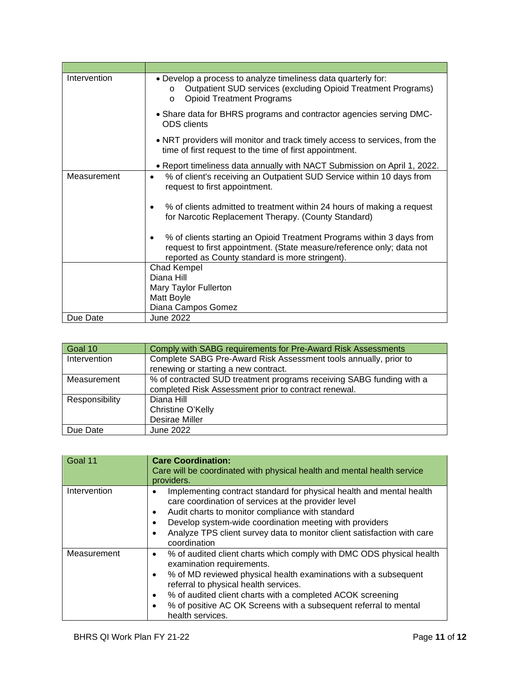| Intervention | • Develop a process to analyze timeliness data quarterly for:<br>Outpatient SUD services (excluding Opioid Treatment Programs)<br>$\Omega$<br><b>Opioid Treatment Programs</b><br>$\Omega$             |
|--------------|--------------------------------------------------------------------------------------------------------------------------------------------------------------------------------------------------------|
|              | • Share data for BHRS programs and contractor agencies serving DMC-<br><b>ODS</b> clients                                                                                                              |
|              | • NRT providers will monitor and track timely access to services, from the<br>time of first request to the time of first appointment.                                                                  |
|              | • Report timeliness data annually with NACT Submission on April 1, 2022.                                                                                                                               |
| Measurement  | % of client's receiving an Outpatient SUD Service within 10 days from<br>$\bullet$<br>request to first appointment.                                                                                    |
|              | % of clients admitted to treatment within 24 hours of making a request<br>$\bullet$<br>for Narcotic Replacement Therapy. (County Standard)                                                             |
|              | % of clients starting an Opioid Treatment Programs within 3 days from<br>٠<br>request to first appointment. (State measure/reference only; data not<br>reported as County standard is more stringent). |
|              | Chad Kempel                                                                                                                                                                                            |
|              | Diana Hill                                                                                                                                                                                             |
|              | Mary Taylor Fullerton                                                                                                                                                                                  |
|              | Matt Boyle                                                                                                                                                                                             |
|              | Diana Campos Gomez                                                                                                                                                                                     |
| Due Date     | June 2022                                                                                                                                                                                              |

| Goal 10        | Comply with SABG requirements for Pre-Award Risk Assessments         |
|----------------|----------------------------------------------------------------------|
| Intervention   | Complete SABG Pre-Award Risk Assessment tools annually, prior to     |
|                | renewing or starting a new contract.                                 |
| Measurement    | % of contracted SUD treatment programs receiving SABG funding with a |
|                | completed Risk Assessment prior to contract renewal.                 |
| Responsibility | Diana Hill                                                           |
|                | Christine O'Kelly                                                    |
|                | Desirae Miller                                                       |
| Due Date       | June 2022                                                            |

| Goal 11      | <b>Care Coordination:</b><br>Care will be coordinated with physical health and mental health service<br>providers.                                                                                                                                                                                                                                                       |
|--------------|--------------------------------------------------------------------------------------------------------------------------------------------------------------------------------------------------------------------------------------------------------------------------------------------------------------------------------------------------------------------------|
| Intervention | Implementing contract standard for physical health and mental health<br>care coordination of services at the provider level<br>Audit charts to monitor compliance with standard<br>$\bullet$<br>Develop system-wide coordination meeting with providers<br>Analyze TPS client survey data to monitor client satisfaction with care<br>$\bullet$<br>coordination          |
| Measurement  | % of audited client charts which comply with DMC ODS physical health<br>examination requirements.<br>% of MD reviewed physical health examinations with a subsequent<br>referral to physical health services.<br>% of audited client charts with a completed ACOK screening<br>٠<br>% of positive AC OK Screens with a subsequent referral to mental<br>health services. |